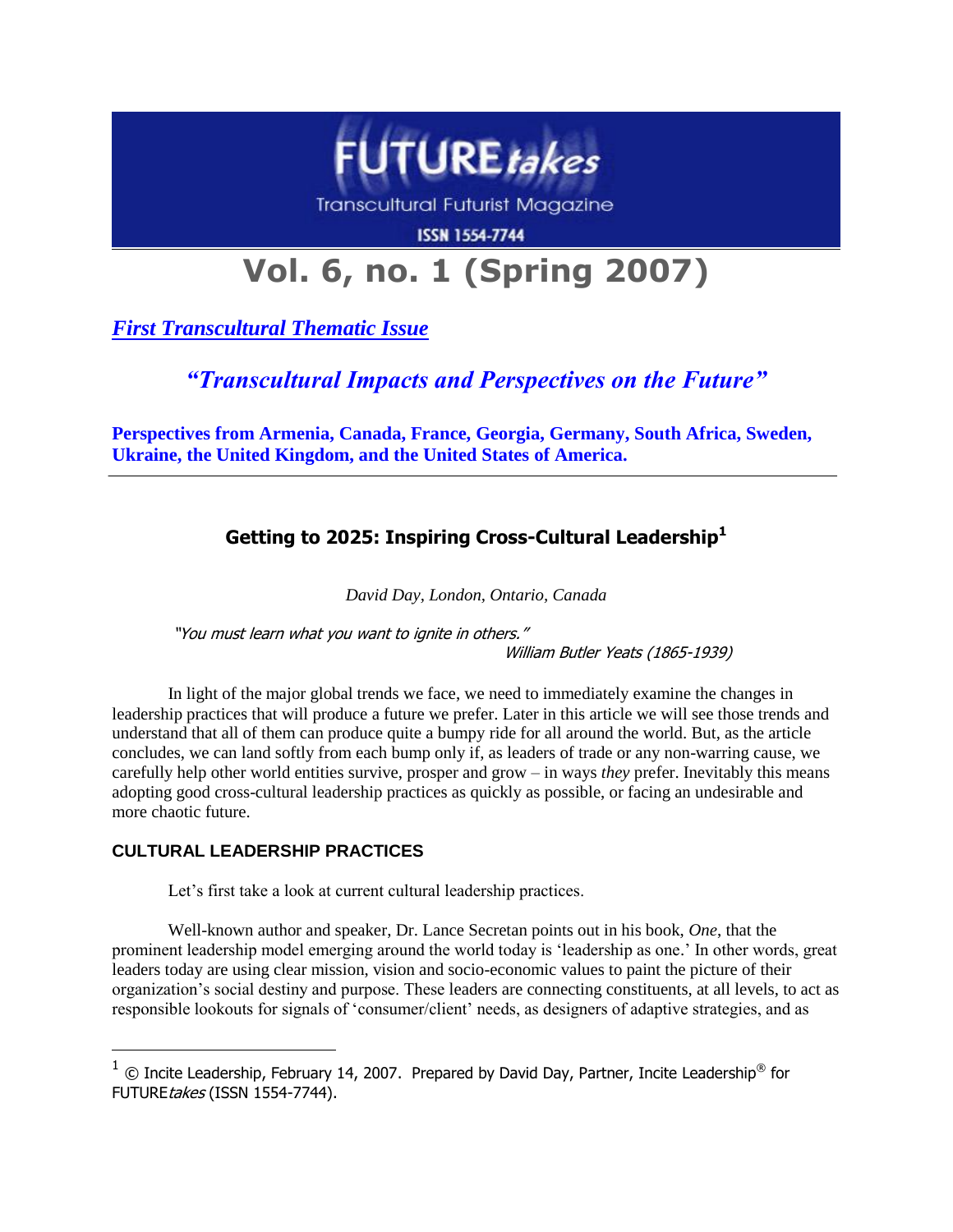

Transcultural Futurist Magazine

**ISSN 1554-7744** 

# **Vol. 6, no. 1 (Spring 2007)**

*First Transcultural Thematic Issue*

*"Transcultural Impacts and Perspectives on the Future"*

**Perspectives from Armenia, Canada, France, Georgia, Germany, South Africa, Sweden, Ukraine, the United Kingdom, and the United States of America.**

# **Getting to 2025: Inspiring Cross-Cultural Leadership<sup>1</sup>**

*David Day, London, Ontario, Canada*

"You must learn what you want to ignite in others." William Butler Yeats (1865-1939)

In light of the major global trends we face, we need to immediately examine the changes in leadership practices that will produce a future we prefer. Later in this article we will see those trends and understand that all of them can produce quite a bumpy ride for all around the world. But, as the article concludes, we can land softly from each bump only if, as leaders of trade or any non-warring cause, we carefully help other world entities survive, prosper and grow – in ways *they* prefer. Inevitably this means adopting good cross-cultural leadership practices as quickly as possible, or facing an undesirable and more chaotic future.

## **CULTURAL LEADERSHIP PRACTICES**

 $\overline{a}$ 

Let's first take a look at current cultural leadership practices.

Well-known author and speaker, Dr. Lance Secretan points out in his book, *One*, that the prominent leadership model emerging around the world today is 'leadership as one.' In other words, great leaders today are using clear mission, vision and socio-economic values to paint the picture of their organization's social destiny and purpose. These leaders are connecting constituents, at all levels, to act as responsible lookouts for signals of 'consumer/client' needs, as designers of adaptive strategies, and as

 $^1$  © Incite Leadership, February 14, 2007. Prepared by David Day, Partner, Incite Leadership® for FUTUREtakes (ISSN 1554-7744).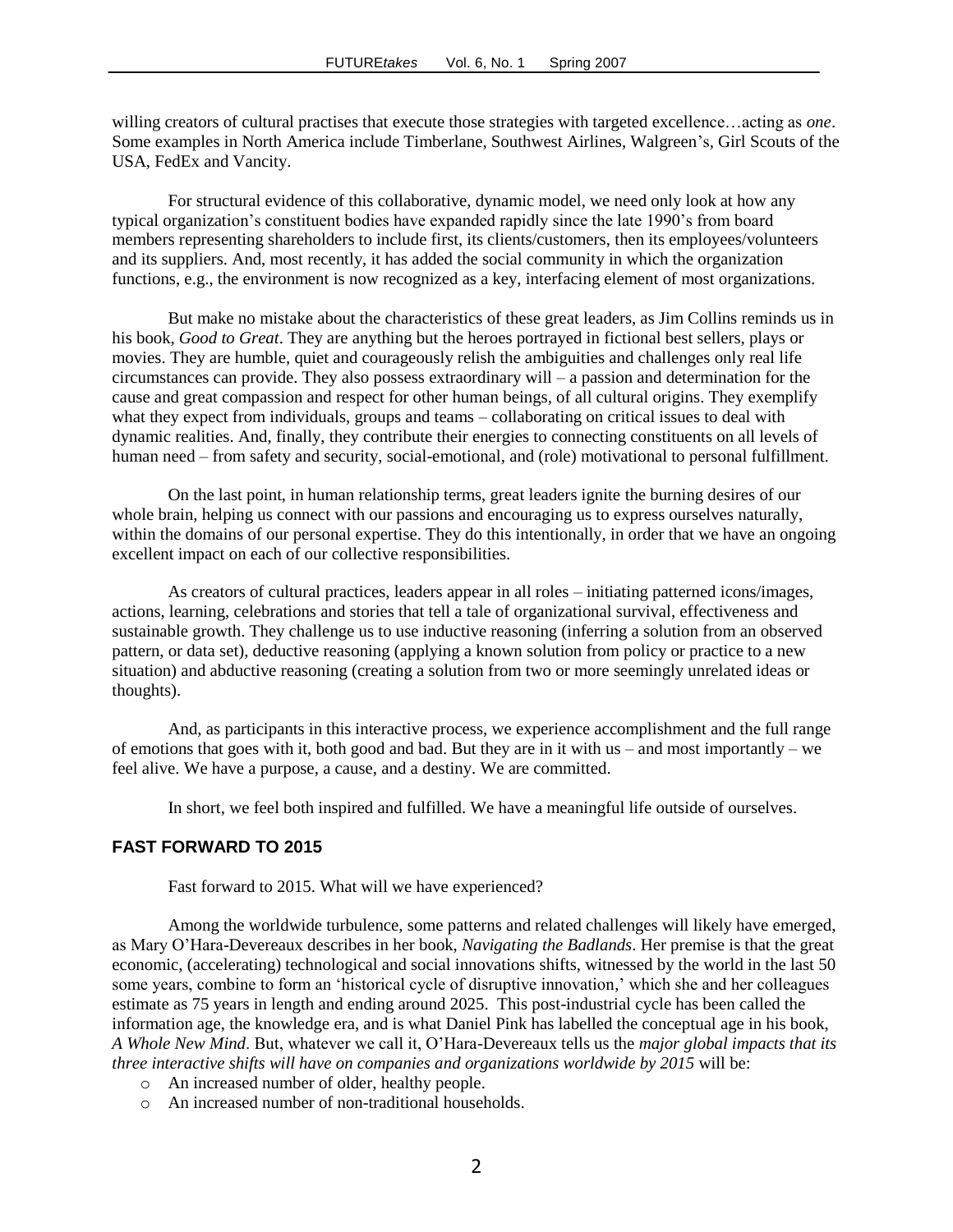willing creators of cultural practises that execute those strategies with targeted excellence…acting as *one*. Some examples in North America include Timberlane, Southwest Airlines, Walgreen's, Girl Scouts of the USA, FedEx and Vancity.

For structural evidence of this collaborative, dynamic model, we need only look at how any typical organization's constituent bodies have expanded rapidly since the late 1990's from board members representing shareholders to include first, its clients/customers, then its employees/volunteers and its suppliers. And, most recently, it has added the social community in which the organization functions, e.g., the environment is now recognized as a key, interfacing element of most organizations.

But make no mistake about the characteristics of these great leaders, as Jim Collins reminds us in his book, *Good to Great*. They are anything but the heroes portrayed in fictional best sellers, plays or movies. They are humble, quiet and courageously relish the ambiguities and challenges only real life circumstances can provide. They also possess extraordinary will – a passion and determination for the cause and great compassion and respect for other human beings, of all cultural origins. They exemplify what they expect from individuals, groups and teams – collaborating on critical issues to deal with dynamic realities. And, finally, they contribute their energies to connecting constituents on all levels of human need – from safety and security, social-emotional, and (role) motivational to personal fulfillment.

On the last point, in human relationship terms, great leaders ignite the burning desires of our whole brain, helping us connect with our passions and encouraging us to express ourselves naturally, within the domains of our personal expertise. They do this intentionally, in order that we have an ongoing excellent impact on each of our collective responsibilities.

As creators of cultural practices, leaders appear in all roles – initiating patterned icons/images, actions, learning, celebrations and stories that tell a tale of organizational survival, effectiveness and sustainable growth. They challenge us to use inductive reasoning (inferring a solution from an observed pattern, or data set), deductive reasoning (applying a known solution from policy or practice to a new situation) and abductive reasoning (creating a solution from two or more seemingly unrelated ideas or thoughts).

And, as participants in this interactive process, we experience accomplishment and the full range of emotions that goes with it, both good and bad. But they are in it with us – and most importantly – we feel alive. We have a purpose, a cause, and a destiny. We are committed.

In short, we feel both inspired and fulfilled. We have a meaningful life outside of ourselves.

#### **FAST FORWARD TO 2015**

Fast forward to 2015. What will we have experienced?

Among the worldwide turbulence, some patterns and related challenges will likely have emerged, as Mary O'Hara-Devereaux describes in her book, *Navigating the Badlands*. Her premise is that the great economic, (accelerating) technological and social innovations shifts, witnessed by the world in the last 50 some years, combine to form an 'historical cycle of disruptive innovation,' which she and her colleagues estimate as 75 years in length and ending around 2025. This post-industrial cycle has been called the information age, the knowledge era, and is what Daniel Pink has labelled the conceptual age in his book, *A Whole New Mind*. But, whatever we call it, O'Hara-Devereaux tells us the *major global impacts that its three interactive shifts will have on companies and organizations worldwide by 2015* will be:

- o An increased number of older, healthy people.
- o An increased number of non-traditional households.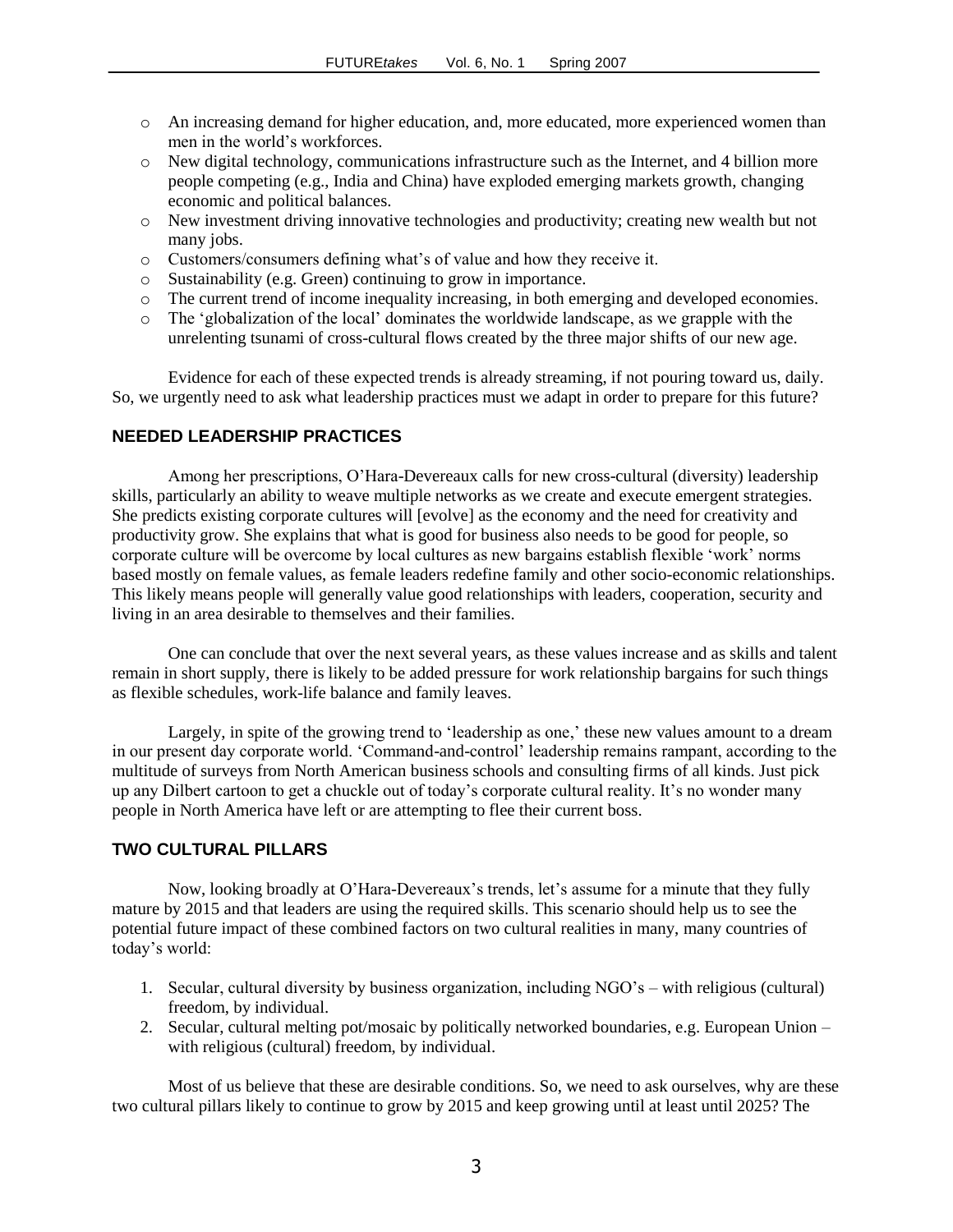- o An increasing demand for higher education, and, more educated, more experienced women than men in the world's workforces.
- o New digital technology, communications infrastructure such as the Internet, and 4 billion more people competing (e.g., India and China) have exploded emerging markets growth, changing economic and political balances.
- o New investment driving innovative technologies and productivity; creating new wealth but not many jobs.
- o Customers/consumers defining what's of value and how they receive it.
- o Sustainability (e.g. Green) continuing to grow in importance.
- o The current trend of income inequality increasing, in both emerging and developed economies.
- o The 'globalization of the local' dominates the worldwide landscape, as we grapple with the unrelenting tsunami of cross-cultural flows created by the three major shifts of our new age.

Evidence for each of these expected trends is already streaming, if not pouring toward us, daily. So, we urgently need to ask what leadership practices must we adapt in order to prepare for this future?

#### **NEEDED LEADERSHIP PRACTICES**

Among her prescriptions, O'Hara-Devereaux calls for new cross-cultural (diversity) leadership skills, particularly an ability to weave multiple networks as we create and execute emergent strategies. She predicts existing corporate cultures will [evolve] as the economy and the need for creativity and productivity grow. She explains that what is good for business also needs to be good for people, so corporate culture will be overcome by local cultures as new bargains establish flexible 'work' norms based mostly on female values, as female leaders redefine family and other socio-economic relationships. This likely means people will generally value good relationships with leaders, cooperation, security and living in an area desirable to themselves and their families.

One can conclude that over the next several years, as these values increase and as skills and talent remain in short supply, there is likely to be added pressure for work relationship bargains for such things as flexible schedules, work-life balance and family leaves.

Largely, in spite of the growing trend to 'leadership as one,' these new values amount to a dream in our present day corporate world. 'Command-and-control' leadership remains rampant, according to the multitude of surveys from North American business schools and consulting firms of all kinds. Just pick up any Dilbert cartoon to get a chuckle out of today's corporate cultural reality. It's no wonder many people in North America have left or are attempting to flee their current boss.

#### **TWO CULTURAL PILLARS**

Now, looking broadly at O'Hara-Devereaux's trends, let's assume for a minute that they fully mature by 2015 and that leaders are using the required skills. This scenario should help us to see the potential future impact of these combined factors on two cultural realities in many, many countries of today's world:

- 1. Secular, cultural diversity by business organization, including NGO's with religious (cultural) freedom, by individual.
- 2. Secular, cultural melting pot/mosaic by politically networked boundaries, e.g. European Union with religious (cultural) freedom, by individual.

Most of us believe that these are desirable conditions. So, we need to ask ourselves, why are these two cultural pillars likely to continue to grow by 2015 and keep growing until at least until 2025? The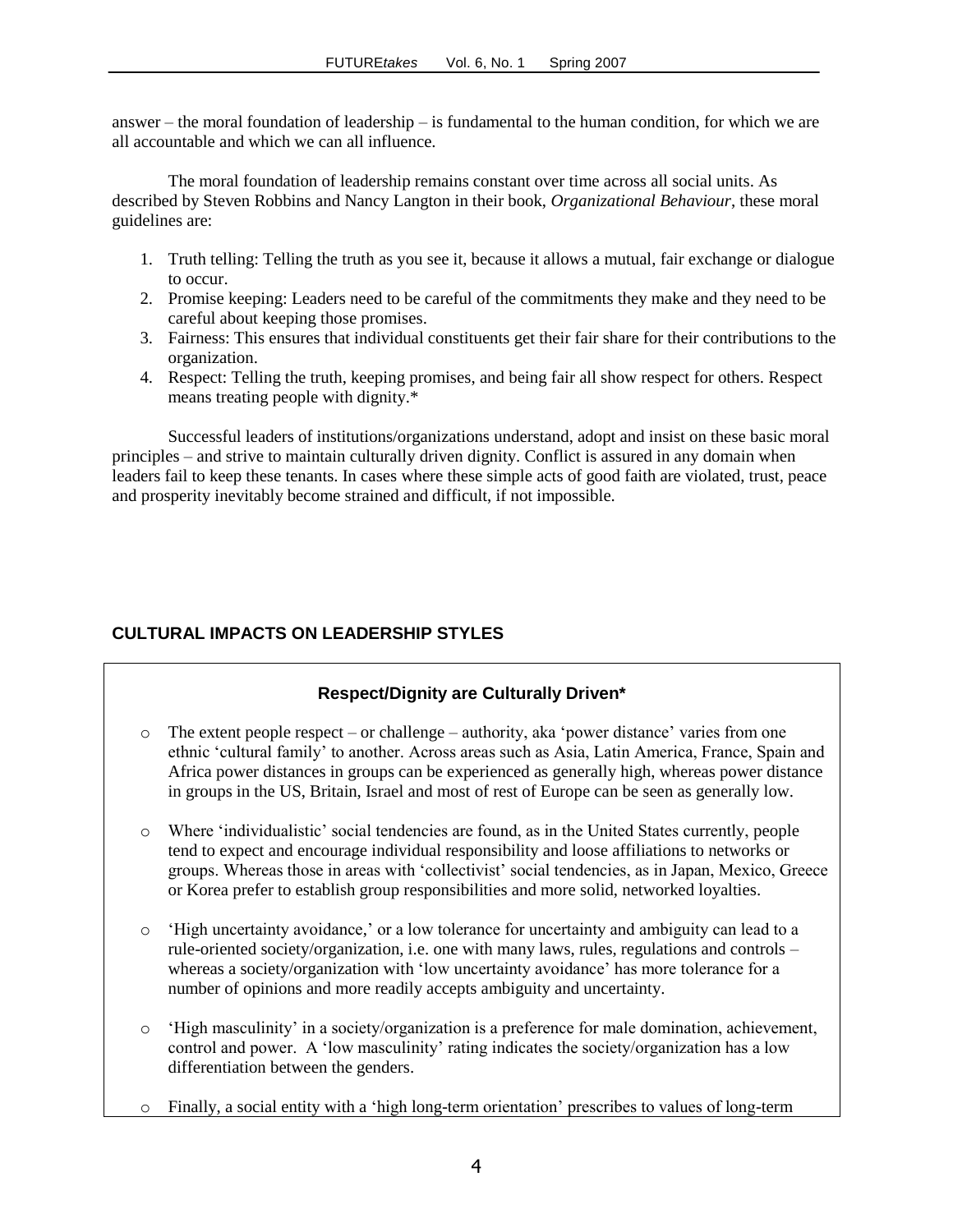answer – the moral foundation of leadership – is fundamental to the human condition, for which we are all accountable and which we can all influence.

The moral foundation of leadership remains constant over time across all social units. As described by Steven Robbins and Nancy Langton in their book, *Organizational Behaviour*, these moral guidelines are:

- 1. Truth telling: Telling the truth as you see it, because it allows a mutual, fair exchange or dialogue to occur.
- 2. Promise keeping: Leaders need to be careful of the commitments they make and they need to be careful about keeping those promises.
- 3. Fairness: This ensures that individual constituents get their fair share for their contributions to the organization.
- 4. Respect: Telling the truth, keeping promises, and being fair all show respect for others. Respect means treating people with dignity.\*

Successful leaders of institutions/organizations understand, adopt and insist on these basic moral principles – and strive to maintain culturally driven dignity. Conflict is assured in any domain when leaders fail to keep these tenants. In cases where these simple acts of good faith are violated, trust, peace and prosperity inevitably become strained and difficult, if not impossible.

## **CULTURAL IMPACTS ON LEADERSHIP STYLES**

#### **Respect/Dignity are Culturally Driven\***

- $\circ$  The extent people respect or challenge authority, aka 'power distance' varies from one ethnic 'cultural family' to another. Across areas such as Asia, Latin America, France, Spain and Africa power distances in groups can be experienced as generally high, whereas power distance in groups in the US, Britain, Israel and most of rest of Europe can be seen as generally low.
- o Where 'individualistic' social tendencies are found, as in the United States currently, people tend to expect and encourage individual responsibility and loose affiliations to networks or groups. Whereas those in areas with 'collectivist' social tendencies, as in Japan, Mexico, Greece or Korea prefer to establish group responsibilities and more solid, networked loyalties.
- o 'High uncertainty avoidance,' or a low tolerance for uncertainty and ambiguity can lead to a rule-oriented society/organization, i.e. one with many laws, rules, regulations and controls – whereas a society/organization with 'low uncertainty avoidance' has more tolerance for a number of opinions and more readily accepts ambiguity and uncertainty.
- o 'High masculinity' in a society/organization is a preference for male domination, achievement, control and power. A 'low masculinity' rating indicates the society/organization has a low differentiation between the genders.
- o Finally, a social entity with a 'high long-term orientation' prescribes to values of long-term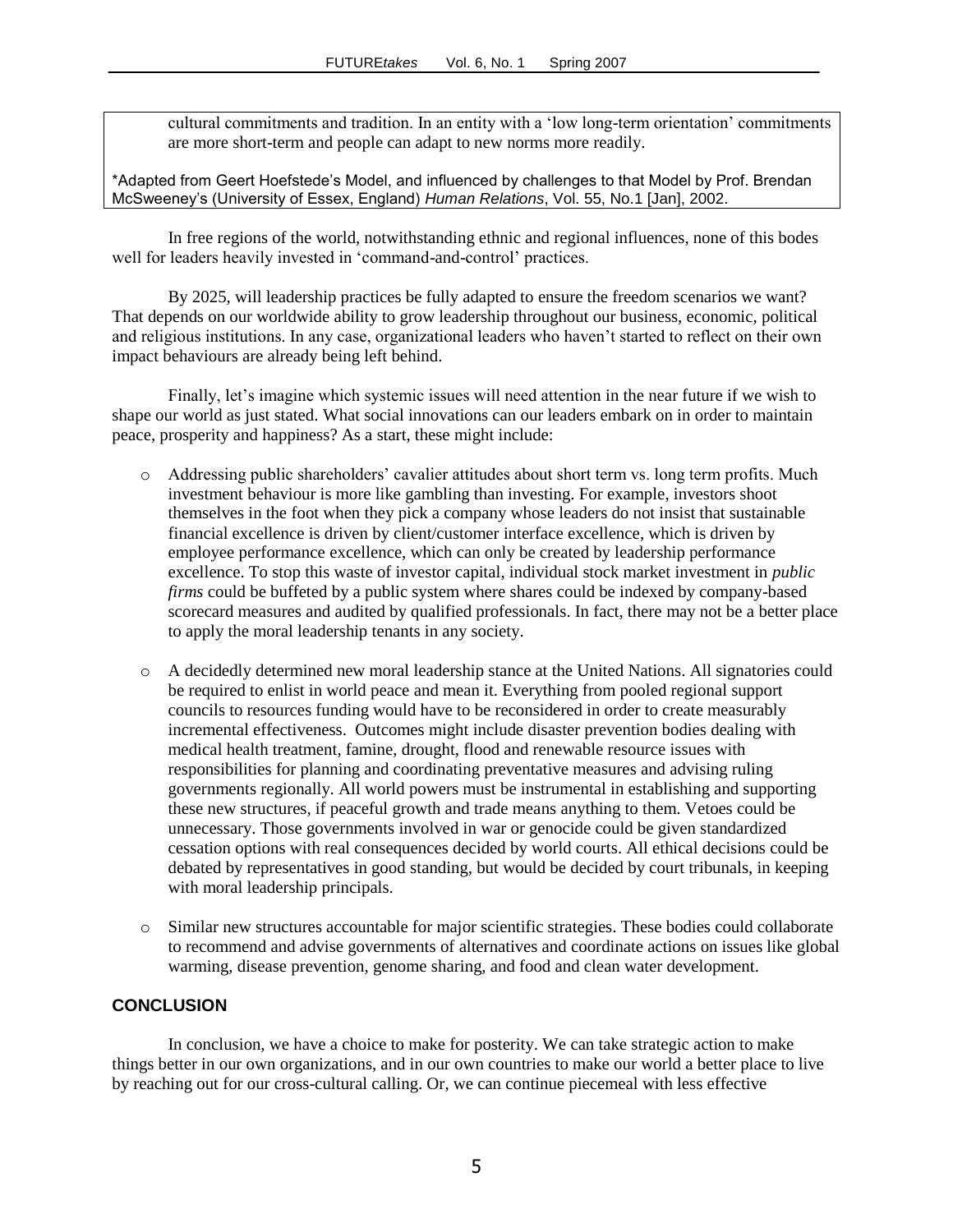cultural commitments and tradition. In an entity with a 'low long-term orientation' commitments are more short-term and people can adapt to new norms more readily.

\*Adapted from Geert Hoefstede's Model, and influenced by challenges to that Model by Prof. Brendan McSweeney's (University of Essex, England) *Human Relations*, Vol. 55, No.1 [Jan], 2002.

In free regions of the world, notwithstanding ethnic and regional influences, none of this bodes well for leaders heavily invested in 'command-and-control' practices.

By 2025, will leadership practices be fully adapted to ensure the freedom scenarios we want? That depends on our worldwide ability to grow leadership throughout our business, economic, political and religious institutions. In any case, organizational leaders who haven't started to reflect on their own impact behaviours are already being left behind.

Finally, let's imagine which systemic issues will need attention in the near future if we wish to shape our world as just stated. What social innovations can our leaders embark on in order to maintain peace, prosperity and happiness? As a start, these might include:

- o Addressing public shareholders' cavalier attitudes about short term vs. long term profits. Much investment behaviour is more like gambling than investing. For example, investors shoot themselves in the foot when they pick a company whose leaders do not insist that sustainable financial excellence is driven by client/customer interface excellence, which is driven by employee performance excellence, which can only be created by leadership performance excellence. To stop this waste of investor capital, individual stock market investment in *public firms* could be buffeted by a public system where shares could be indexed by company-based scorecard measures and audited by qualified professionals. In fact, there may not be a better place to apply the moral leadership tenants in any society.
- o A decidedly determined new moral leadership stance at the United Nations. All signatories could be required to enlist in world peace and mean it. Everything from pooled regional support councils to resources funding would have to be reconsidered in order to create measurably incremental effectiveness. Outcomes might include disaster prevention bodies dealing with medical health treatment, famine, drought, flood and renewable resource issues with responsibilities for planning and coordinating preventative measures and advising ruling governments regionally. All world powers must be instrumental in establishing and supporting these new structures, if peaceful growth and trade means anything to them. Vetoes could be unnecessary. Those governments involved in war or genocide could be given standardized cessation options with real consequences decided by world courts. All ethical decisions could be debated by representatives in good standing, but would be decided by court tribunals, in keeping with moral leadership principals.
- o Similar new structures accountable for major scientific strategies. These bodies could collaborate to recommend and advise governments of alternatives and coordinate actions on issues like global warming, disease prevention, genome sharing, and food and clean water development.

#### **CONCLUSION**

In conclusion, we have a choice to make for posterity. We can take strategic action to make things better in our own organizations, and in our own countries to make our world a better place to live by reaching out for our cross-cultural calling. Or, we can continue piecemeal with less effective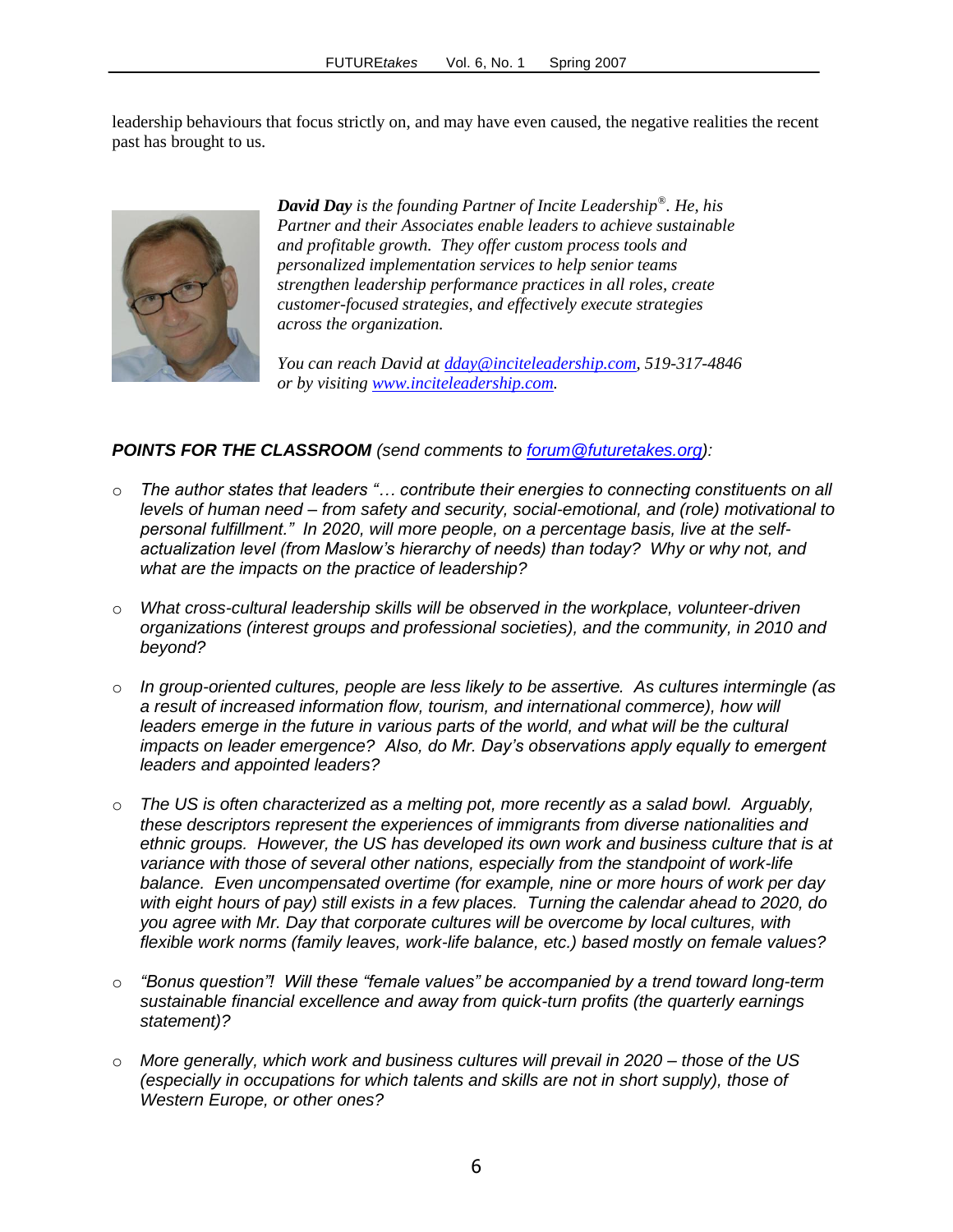leadership behaviours that focus strictly on, and may have even caused, the negative realities the recent past has brought to us.



*David Day is the founding Partner of Incite Leadership® . He, his Partner and their Associates enable leaders to achieve sustainable and profitable growth. They offer custom process tools and personalized implementation services to help senior teams strengthen leadership performance practices in all roles, create customer-focused strategies, and effectively execute strategies across the organization.* 

*You can reach David at [dday@inciteleadership.com,](mailto:dday@inciteleadership.com) 519-317-4846 or by visiting [www.inciteleadership.com.](http://www.inciteleadership.com/)*

#### *POINTS FOR THE CLASSROOM (send comments to [forum@futuretakes.org\)](mailto:forum@futuretakes.org):*

- o *The author states that leaders "… contribute their energies to connecting constituents on all levels of human need – from safety and security, social-emotional, and (role) motivational to personal fulfillment." In 2020, will more people, on a percentage basis, live at the selfactualization level (from Maslow's hierarchy of needs) than today? Why or why not, and what are the impacts on the practice of leadership?*
- o *What cross-cultural leadership skills will be observed in the workplace, volunteer-driven organizations (interest groups and professional societies), and the community, in 2010 and beyond?*
- o *In group-oriented cultures, people are less likely to be assertive. As cultures intermingle (as a result of increased information flow, tourism, and international commerce), how will leaders emerge in the future in various parts of the world, and what will be the cultural impacts on leader emergence? Also, do Mr. Day's observations apply equally to emergent leaders and appointed leaders?*
- o *The US is often characterized as a melting pot, more recently as a salad bowl. Arguably, these descriptors represent the experiences of immigrants from diverse nationalities and ethnic groups. However, the US has developed its own work and business culture that is at variance with those of several other nations, especially from the standpoint of work-life balance. Even uncompensated overtime (for example, nine or more hours of work per day with eight hours of pay) still exists in a few places. Turning the calendar ahead to 2020, do you agree with Mr. Day that corporate cultures will be overcome by local cultures, with flexible work norms (family leaves, work-life balance, etc.) based mostly on female values?*
- o *"Bonus question"! Will these "female values" be accompanied by a trend toward long-term sustainable financial excellence and away from quick-turn profits (the quarterly earnings statement)?*
- o *More generally, which work and business cultures will prevail in 2020 – those of the US (especially in occupations for which talents and skills are not in short supply), those of Western Europe, or other ones?*